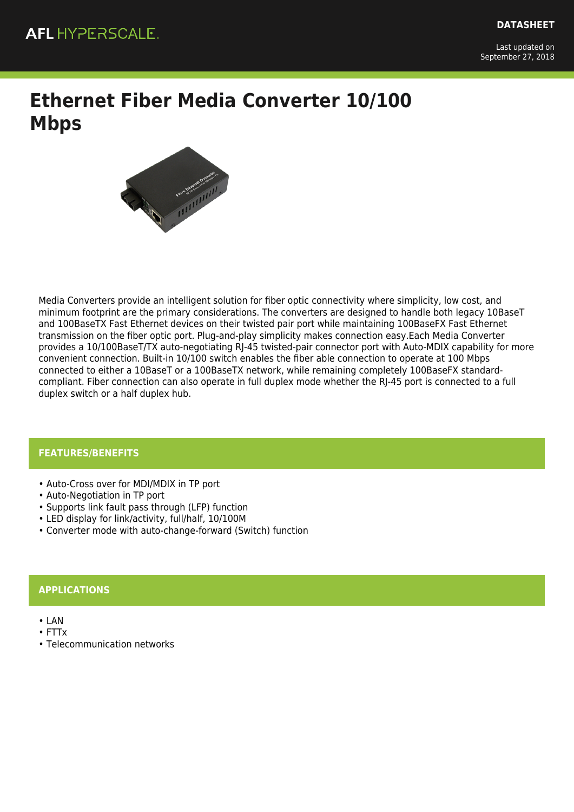Last updated on September 27, 2018

# **Ethernet Fiber Media Converter 10/100 Mbps**



Media Converters provide an intelligent solution for fiber optic connectivity where simplicity, low cost, and minimum footprint are the primary considerations. The converters are designed to handle both legacy 10BaseT and 100BaseTX Fast Ethernet devices on their twisted pair port while maintaining 100BaseFX Fast Ethernet transmission on the fiber optic port. Plug-and-play simplicity makes connection easy.Each Media Converter provides a 10/100BaseT/TX auto-negotiating RJ-45 twisted-pair connector port with Auto-MDIX capability for more convenient connection. Built-in 10/100 switch enables the fiber able connection to operate at 100 Mbps connected to either a 10BaseT or a 100BaseTX network, while remaining completely 100BaseFX standardcompliant. Fiber connection can also operate in full duplex mode whether the RJ-45 port is connected to a full duplex switch or a half duplex hub.

### **FEATURES/BENEFITS**

- Auto-Cross over for MDI/MDIX in TP port
- Auto-Negotiation in TP port
- Supports link fault pass through (LFP) function
- LED display for link/activity, full/half, 10/100M
- Converter mode with auto-change-forward (Switch) function

### **APPLICATIONS**

- LAN
- FTTx
- Telecommunication networks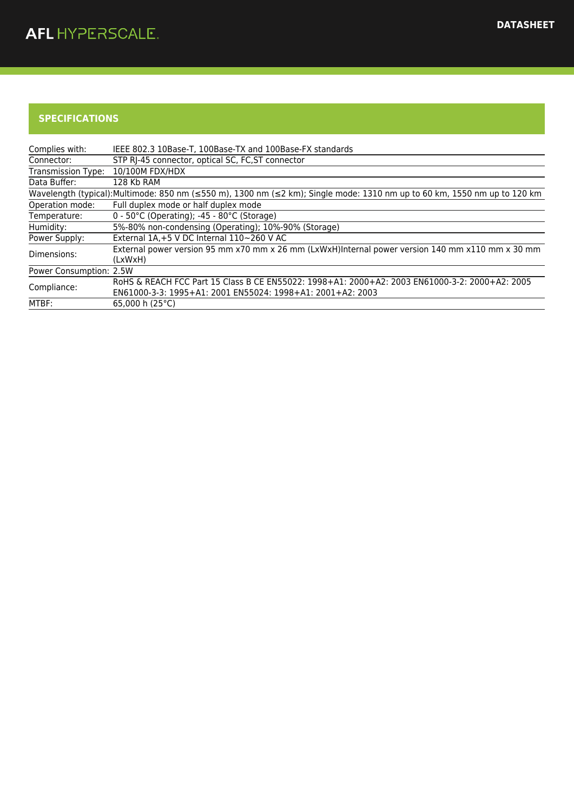## **SPECIFICATIONS**

| Complies with:          | IEEE 802.3 10Base-T, 100Base-TX and 100Base-FX standards                                                                                                     |
|-------------------------|--------------------------------------------------------------------------------------------------------------------------------------------------------------|
| Connector:              | STP RJ-45 connector, optical SC, FC, ST connector                                                                                                            |
| Transmission Type:      | 10/100M FDX/HDX                                                                                                                                              |
| Data Buffer:            | 128 Kb RAM                                                                                                                                                   |
|                         | Wavelength (typical):Multimode: 850 nm (≤550 m), 1300 nm (≤2 km); Single mode: 1310 nm up to 60 km, 1550 nm up to 120 km                                     |
| Operation mode:         | Full duplex mode or half duplex mode                                                                                                                         |
| Temperature:            | $0 - 50^{\circ}$ C (Operating); -45 - 80 $^{\circ}$ C (Storage)                                                                                              |
| Humidity:               | 5%-80% non-condensing (Operating); 10%-90% (Storage)                                                                                                         |
| Power Supply:           | External 1A, +5 V DC Internal 110~260 V AC                                                                                                                   |
| Dimensions:             | External power version 95 mm x70 mm x 26 mm (LxWxH)Internal power version 140 mm x110 mm x 30 mm<br>(LxWxH)                                                  |
| Power Consumption: 2.5W |                                                                                                                                                              |
| Compliance:             | RoHS & REACH FCC Part 15 Class B CE EN55022: 1998+A1: 2000+A2: 2003 EN61000-3-2: 2000+A2: 2005<br>EN61000-3-3: 1995+A1: 2001 EN55024: 1998+A1: 2001+A2: 2003 |
| MTBF:                   | 65.000 h $(25^{\circ}C)$                                                                                                                                     |